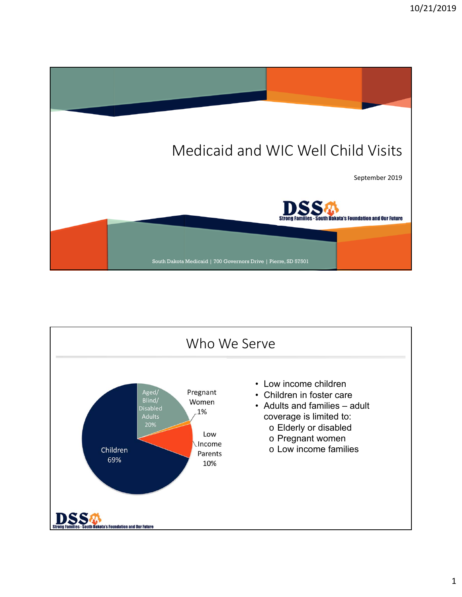

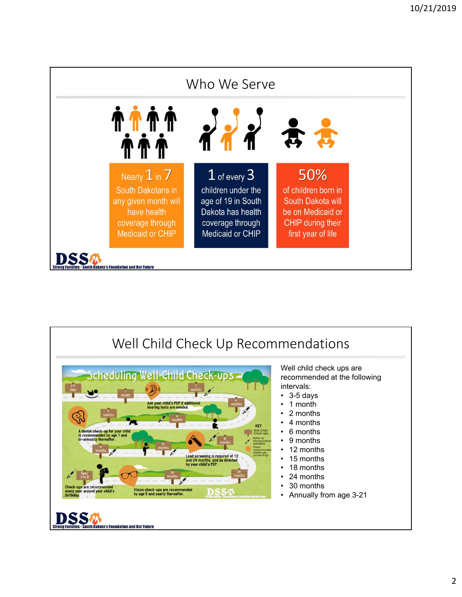

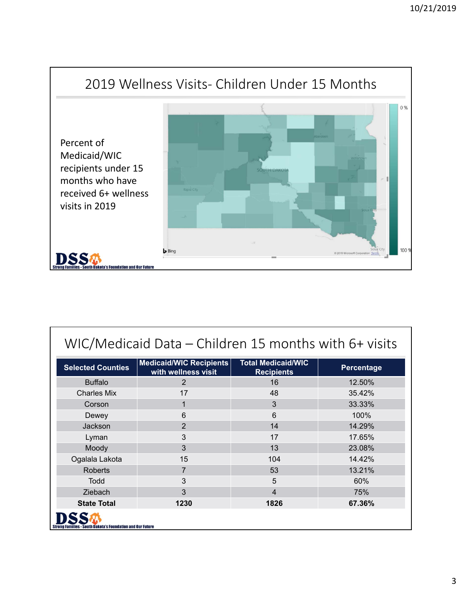

| WIC/Medicaid Data - Children 15 months with 6+ visits             |                                                |                                                |            |  |
|-------------------------------------------------------------------|------------------------------------------------|------------------------------------------------|------------|--|
| <b>Selected Counties</b>                                          | Medicaid/WIC Recipients<br>with wellness visit | <b>Total Medicaid/WIC</b><br><b>Recipients</b> | Percentage |  |
| <b>Buffalo</b>                                                    | $\overline{2}$                                 | 16                                             | 12.50%     |  |
| <b>Charles Mix</b>                                                | 17                                             | 48                                             | 35.42%     |  |
| Corson                                                            | $\mathbf 1$                                    | $\overline{3}$                                 | 33.33%     |  |
| Dewey                                                             | 6                                              | 6                                              | 100%       |  |
| Jackson                                                           | $\overline{2}$                                 | 14                                             | 14.29%     |  |
| Lyman                                                             | 3                                              | 17                                             | 17.65%     |  |
| Moody                                                             | 3                                              | 13                                             | 23.08%     |  |
| Ogalala Lakota                                                    | 15                                             | 104                                            | 14.42%     |  |
| <b>Roberts</b>                                                    | 7                                              | 53                                             | 13.21%     |  |
| Todd                                                              | 3                                              | 5                                              | 60%        |  |
| Ziebach                                                           | 3                                              | $\overline{\mathcal{L}}$                       | 75%        |  |
| <b>State Total</b>                                                | 1230                                           | 1826                                           | 67.36%     |  |
| <b>Strong Families - South Dakota's Foundation and Our Future</b> |                                                |                                                |            |  |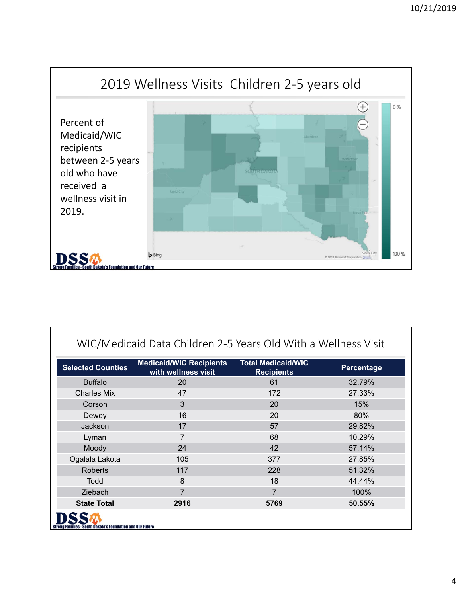

| WIC/Medicaid Data Children 2-5 Years Old With a Wellness Visit    |                                                       |                                                |                   |  |
|-------------------------------------------------------------------|-------------------------------------------------------|------------------------------------------------|-------------------|--|
| <b>Selected Counties</b>                                          | <b>Medicaid/WIC Recipients</b><br>with wellness visit | <b>Total Medicaid/WIC</b><br><b>Recipients</b> | <b>Percentage</b> |  |
| <b>Buffalo</b>                                                    | 20                                                    | 61                                             | 32.79%            |  |
| <b>Charles Mix</b>                                                | 47                                                    | 172                                            | 27.33%            |  |
| Corson                                                            | 3                                                     | 20                                             | 15%               |  |
| Dewey                                                             | 16                                                    | 20                                             | 80%               |  |
| Jackson                                                           | 17                                                    | 57                                             | 29.82%            |  |
| Lyman                                                             | 7                                                     | 68                                             | 10.29%            |  |
| Moody                                                             | 24                                                    | 42                                             | 57.14%            |  |
| Ogalala Lakota                                                    | 105                                                   | 377                                            | 27.85%            |  |
| <b>Roberts</b>                                                    | 117                                                   | 228                                            | 51.32%            |  |
| Todd                                                              | 8                                                     | 18                                             | 44.44%            |  |
| <b>Ziebach</b>                                                    | 7                                                     | $\overline{7}$                                 | 100%              |  |
| <b>State Total</b>                                                | 2916                                                  | 5769                                           | 50.55%            |  |
| <b>Strong Families - South Dakota's Foundation and Our Future</b> |                                                       |                                                |                   |  |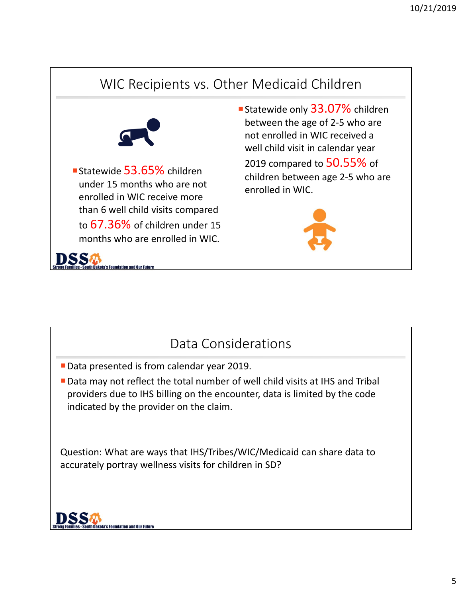



- Data presented is from calendar year 2019.
- Data may not reflect the total number of well child visits at IHS and Tribal providers due to IHS billing on the encounter, data is limited by the code indicated by the provider on the claim.

Question: What are ways that IHS/Tribes/WIC/Medicaid can share data to accurately portray wellness visits for children in SD?